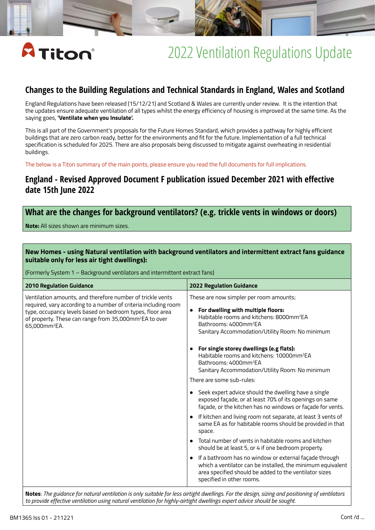

## **Changes to the Building Regulations and Technical Standards in England, Wales and Scotland**

England Regulations have been released (15/12/21) and Scotland & Wales are currently under review. It is the intention that the updates ensure adequate ventilation of all types whilst the energy efficiency of housing is improved at the same time. As the saying goes, **'Ventilate when you Insulate'.**

This is all part of the Government's proposals for the Future Homes Standard, which provides a pathway for highly efficient buildings that are zero carbon ready, better for the environments and fit for the future. Implementation of a full technical specification is scheduled for 2025. There are also proposals being discussed to mitigate against overheating in residential buildings.

The below is a Titon summary of the main points, please ensure you read the full documents for full implications.

## **England - Revised Approved Document F publication issued December 2021 with effective date 15th June 2022**

## **What are the changes for background ventilators? (e.g. trickle vents in windows or doors)**

**Note:** All sizes shown are minimum sizes.

### **New Homes - using Natural ventilation with background ventilators and intermittent extract fans guidance suitable only for less air tight dwellings):**

(Formerly System 1 – Background ventilators and intermittent extract fans)

| Ventilation amounts, and therefore number of trickle vents<br>These are now simpler per room amounts;<br>required, vary according to a number of criteria including room<br>For dwelling with multiple floors:<br>$\bullet$<br>type, occupancy levels based on bedroom types, floor area<br>Habitable rooms and kitchens: 8000mm <sup>2</sup> EA<br>of property. These can range from 35,000mm <sup>2</sup> EA to over<br>Bathrooms: 4000mm <sup>2</sup> EA<br>65,000mm <sup>2</sup> EA.<br>Sanitary Accommodation/Utility Room: No minimum<br>For single storey dwellings (e.g flats):<br>$\bullet$<br>Habitable rooms and kitchens: 10000mm <sup>2</sup> EA<br>Bathrooms: 4000mm <sup>2</sup> EA<br>Sanitary Accommodation/Utility Room: No minimum<br>There are some sub-rules:<br>Seek expert advice should the dwelling have a single<br>$\bullet$<br>exposed façade, or at least 70% of its openings on same<br>façade, or the kitchen has no windows or façade for vents.<br>If kitchen and living room not separate, at least 3 vents of<br>$\bullet$<br>same EA as for habitable rooms should be provided in that<br>space.<br>Total number of vents in habitable rooms and kitchen<br>$\bullet$<br>should be at least 5, or 4 if one bedroom property.<br>If a bathroom has no window or external façade through<br>$\bullet$<br>which a ventilator can be installed, the minimum equivalent<br>area specified should be added to the ventilator sizes<br>specified in other rooms. | <b>2010 Regulation Guidance</b> | <b>2022 Regulation Guidance</b> |
|-----------------------------------------------------------------------------------------------------------------------------------------------------------------------------------------------------------------------------------------------------------------------------------------------------------------------------------------------------------------------------------------------------------------------------------------------------------------------------------------------------------------------------------------------------------------------------------------------------------------------------------------------------------------------------------------------------------------------------------------------------------------------------------------------------------------------------------------------------------------------------------------------------------------------------------------------------------------------------------------------------------------------------------------------------------------------------------------------------------------------------------------------------------------------------------------------------------------------------------------------------------------------------------------------------------------------------------------------------------------------------------------------------------------------------------------------------------------------------------------------|---------------------------------|---------------------------------|
|                                                                                                                                                                                                                                                                                                                                                                                                                                                                                                                                                                                                                                                                                                                                                                                                                                                                                                                                                                                                                                                                                                                                                                                                                                                                                                                                                                                                                                                                                               |                                 |                                 |
|                                                                                                                                                                                                                                                                                                                                                                                                                                                                                                                                                                                                                                                                                                                                                                                                                                                                                                                                                                                                                                                                                                                                                                                                                                                                                                                                                                                                                                                                                               |                                 |                                 |
|                                                                                                                                                                                                                                                                                                                                                                                                                                                                                                                                                                                                                                                                                                                                                                                                                                                                                                                                                                                                                                                                                                                                                                                                                                                                                                                                                                                                                                                                                               |                                 |                                 |

**Notes**: *The guidance for natural ventilation is only suitable for less airtight dwellings. For the design, sizing and positioning of ventilators to provide effective ventilation using natural ventilation for highly-airtight dwellings expert advice should be sought.*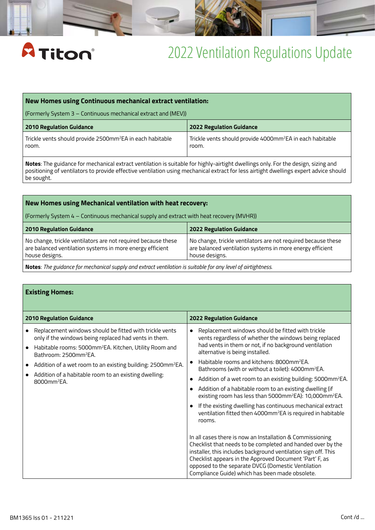

#### **New Homes using Continuous mechanical extract ventilation:**

(Formerly System 3 – Continuous mechanical extract and (MEV))

| <b>2010 Regulation Guidance</b>                                       | 2022 Regulation Guidance                                              |
|-----------------------------------------------------------------------|-----------------------------------------------------------------------|
| Trickle vents should provide 2500mm <sup>2</sup> EA in each habitable | Trickle vents should provide 4000mm <sup>2</sup> EA in each habitable |
| room.                                                                 | room.                                                                 |

**Notes**: The guidance for mechanical extract ventilation is suitable for highly-airtight dwellings only. For the design, sizing and positioning of ventilators to provide effective ventilation using mechanical extract for less airtight dwellings expert advice should be sought.

### **New Homes using Mechanical ventilation with heat recovery:**

(Formerly System 4 – Continuous mechanical supply and extract with heat recovery (MVHR))

| No change, trickle ventilators are not required because these                                 |                                                                                                                            |
|-----------------------------------------------------------------------------------------------|----------------------------------------------------------------------------------------------------------------------------|
| are balanced ventilation systems in more energy efficient<br>house designs.<br>house designs. | No change, trickle ventilators are not required because these<br>are balanced ventilation systems in more energy efficient |

**Notes**: *The guidance for mechanical supply and extract ventilation is suitable for any level of airtightness.*

### **Existing Homes:**

| <b>2010 Regulation Guidance</b>                                                                                                                                                                                                                                                                                                                                                            | <b>2022 Regulation Guidance</b>                                                                                                                                                                                                                                                                                                                                                                                                                                                                                                                                                                                                                                                                                                                                                                                                                                                                                                                                                                                                                                                  |  |  |  |
|--------------------------------------------------------------------------------------------------------------------------------------------------------------------------------------------------------------------------------------------------------------------------------------------------------------------------------------------------------------------------------------------|----------------------------------------------------------------------------------------------------------------------------------------------------------------------------------------------------------------------------------------------------------------------------------------------------------------------------------------------------------------------------------------------------------------------------------------------------------------------------------------------------------------------------------------------------------------------------------------------------------------------------------------------------------------------------------------------------------------------------------------------------------------------------------------------------------------------------------------------------------------------------------------------------------------------------------------------------------------------------------------------------------------------------------------------------------------------------------|--|--|--|
| Replacement windows should be fitted with trickle vents<br>only if the windows being replaced had vents in them.<br>Habitable rooms: 5000mm <sup>2</sup> EA. Kitchen, Utility Room and<br>Bathroom: 2500mm <sup>2</sup> EA.<br>Addition of a wet room to an existing building: 2500mm <sup>2</sup> EA.<br>Addition of a habitable room to an existing dwelling:<br>8000mm <sup>2</sup> EA. | Replacement windows should be fitted with trickle<br>vents regardless of whether the windows being replaced<br>had vents in them or not, if no background ventilation<br>alternative is being installed.<br>Habitable rooms and kitchens: 8000mm <sup>2</sup> EA.<br>Bathrooms (with or without a toilet): 4000mm <sup>2</sup> EA.<br>Addition of a wet room to an existing building: 5000mm <sup>2</sup> EA.<br>Addition of a habitable room to an existing dwelling (if<br>existing room has less than 5000mm <sup>2</sup> EA): 10,000mm <sup>2</sup> EA.<br>If the existing dwelling has continuous mechanical extract<br>ventilation fitted then 4000mm <sup>2</sup> EA is required in habitable<br>rooms.<br>In all cases there is now an Installation & Commissioning<br>Checklist that needs to be completed and handed over by the<br>installer, this includes background ventilation sign off. This<br>Checklist appears in the Approved Document 'Part' F, as<br>opposed to the separate DVCG (Domestic Ventilation<br>Compliance Guide) which has been made obsolete. |  |  |  |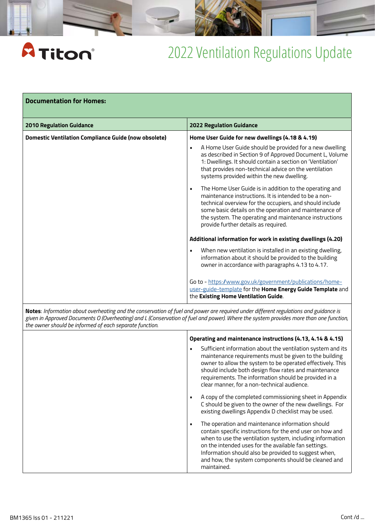# **A** Titon®

# 2022 Ventilation Regulations Update

| <b>Documentation for Homes:</b>                             |                                                                                                                                                                                                                                                                                                                                               |  |  |  |
|-------------------------------------------------------------|-----------------------------------------------------------------------------------------------------------------------------------------------------------------------------------------------------------------------------------------------------------------------------------------------------------------------------------------------|--|--|--|
| <b>2010 Regulation Guidance</b>                             | <b>2022 Regulation Guidance</b>                                                                                                                                                                                                                                                                                                               |  |  |  |
| <b>Domestic Ventilation Compliance Guide (now obsolete)</b> | Home User Guide for new dwellings (4.18 & 4.19)                                                                                                                                                                                                                                                                                               |  |  |  |
|                                                             | A Home User Guide should be provided for a new dwelling<br>$\blacksquare$<br>as described in Section 9 of Approved Document L, Volume<br>1: Dwellings. It should contain a section on 'Ventilation'<br>that provides non-technical advice on the ventilation<br>systems provided within the new dwelling.                                     |  |  |  |
|                                                             | The Home User Guide is in addition to the operating and<br>٠<br>maintenance instructions. It is intended to be a non-<br>technical overview for the occupiers, and should include<br>some basic details on the operation and maintenance of<br>the system. The operating and maintenance instructions<br>provide further details as required. |  |  |  |
|                                                             | Additional information for work in existing dwellings (4.20)                                                                                                                                                                                                                                                                                  |  |  |  |
|                                                             | When new ventilation is installed in an existing dwelling,<br>$\blacksquare$<br>information about it should be provided to the building<br>owner in accordance with paragraphs 4.13 to 4.17.                                                                                                                                                  |  |  |  |
|                                                             | Go to - https://www.gov.uk/government/publications/home-<br>user-guide-template for the Home Energy Guide Template and<br>the Existing Home Ventilation Guide.                                                                                                                                                                                |  |  |  |

**Notes**: *Information about overheating and the conservation of fuel and power are required under different regulations and guidance is given in Approved Documents O (Overheating) and L (Conservation of fuel and power). Where the system provides more than one function, the owner should be informed of each separate function.*

| Operating and maintenance instructions (4.13, 4.14 & 4.15)                                                                                                                                                                                                                                                                                                                          |
|-------------------------------------------------------------------------------------------------------------------------------------------------------------------------------------------------------------------------------------------------------------------------------------------------------------------------------------------------------------------------------------|
| Sufficient information about the ventilation system and its<br>٠<br>maintenance requirements must be given to the building<br>owner to allow the system to be operated effectively. This<br>should include both design flow rates and maintenance<br>requirements. The information should be provided in a<br>clear manner, for a non-technical audience.                           |
| A copy of the completed commissioning sheet in Appendix<br>п<br>C should be given to the owner of the new dwellings. For<br>existing dwellings Appendix D checklist may be used.                                                                                                                                                                                                    |
| The operation and maintenance information should<br>$\blacksquare$<br>contain specific instructions for the end user on how and<br>when to use the ventilation system, including information<br>on the intended uses for the available fan settings.<br>Information should also be provided to suggest when,<br>and how, the system components should be cleaned and<br>maintained. |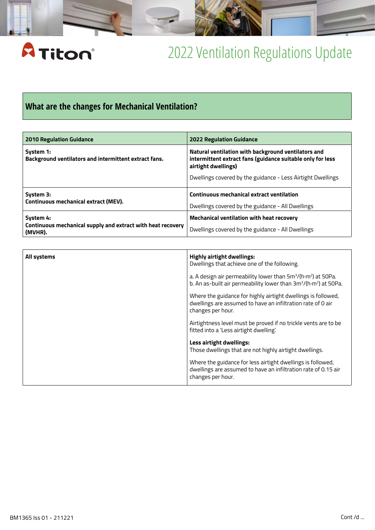

## **What are the changes for Mechanical Ventilation?**

| <b>2010 Regulation Guidance</b>                                                     | <b>2022 Regulation Guidance</b>                                                                                                                                                                         |
|-------------------------------------------------------------------------------------|---------------------------------------------------------------------------------------------------------------------------------------------------------------------------------------------------------|
| System 1:<br>Background ventilators and intermittent extract fans.                  | Natural ventilation with background ventilators and<br>intermittent extract fans (guidance suitable only for less<br>airtight dwellings)<br>Dwellings covered by the guidance - Less Airtight Dwellings |
| System 3:<br>Continuous mechanical extract (MEV).                                   | <b>Continuous mechanical extract ventilation</b><br>Dwellings covered by the guidance - All Dwellings                                                                                                   |
| System 4:<br>Continuous mechanical supply and extract with heat recovery<br>(MVHR). | <b>Mechanical ventilation with heat recovery</b><br>Dwellings covered by the guidance - All Dwellings                                                                                                   |

| All systems | <b>Highly airtight dwellings:</b><br>Dwellings that achieve one of the following.                                                                                                 |
|-------------|-----------------------------------------------------------------------------------------------------------------------------------------------------------------------------------|
|             | a. A design air permeability lower than 5m <sup>3</sup> /(h·m <sup>2</sup> ) at 50Pa.<br>b. An as-built air permeability lower than 3m <sup>3</sup> /(h·m <sup>2</sup> ) at 50Pa. |
|             | Where the guidance for highly airtight dwellings is followed,<br>dwellings are assumed to have an infiltration rate of 0 air<br>changes per hour.                                 |
|             | Airtightness level must be proved if no trickle vents are to be<br>fitted into a 'Less airtight dwelling'.                                                                        |
|             | Less airtight dwellings:<br>Those dwellings that are not highly airtight dwellings.                                                                                               |
|             | Where the guidance for less airtight dwellings is followed,<br>dwellings are assumed to have an infiltration rate of 0.15 air<br>changes per hour.                                |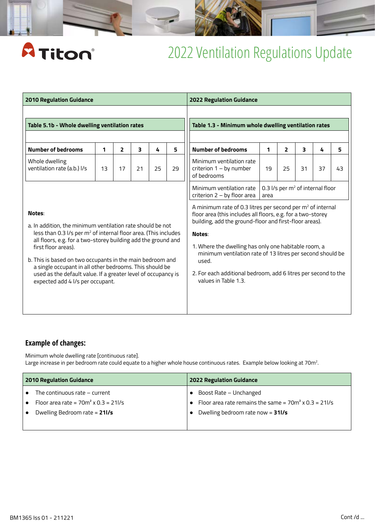| <b>2010 Regulation Guidance</b>                                                                                                                                                                                                             |    |                |                                                                                                                                                                                                                                                                                                                                 |                                                                                                                 |    | <b>2022 Regulation Guidance</b>                                      |    |    |                                                                                                                                                                                                                           |    |    |  |  |                                                                                                 |  |  |  |  |  |
|---------------------------------------------------------------------------------------------------------------------------------------------------------------------------------------------------------------------------------------------|----|----------------|---------------------------------------------------------------------------------------------------------------------------------------------------------------------------------------------------------------------------------------------------------------------------------------------------------------------------------|-----------------------------------------------------------------------------------------------------------------|----|----------------------------------------------------------------------|----|----|---------------------------------------------------------------------------------------------------------------------------------------------------------------------------------------------------------------------------|----|----|--|--|-------------------------------------------------------------------------------------------------|--|--|--|--|--|
| Table 5.1b - Whole dwelling ventilation rates                                                                                                                                                                                               |    |                | Table 1.3 - Minimum whole dwelling ventilation rates                                                                                                                                                                                                                                                                            |                                                                                                                 |    |                                                                      |    |    |                                                                                                                                                                                                                           |    |    |  |  |                                                                                                 |  |  |  |  |  |
| <b>Number of bedrooms</b>                                                                                                                                                                                                                   | 1  | $\overline{2}$ | 3                                                                                                                                                                                                                                                                                                                               | 4                                                                                                               | 5  | <b>Number of bedrooms</b>                                            | 1  | 2  | 3                                                                                                                                                                                                                         | 4  | 5  |  |  |                                                                                                 |  |  |  |  |  |
| Whole dwelling<br>ventilation rate (a.b.) I/s                                                                                                                                                                                               | 13 | 17             | 21                                                                                                                                                                                                                                                                                                                              | 25                                                                                                              | 29 | Minimum ventilation rate<br>criterion $1 - by number$<br>of bedrooms | 19 | 25 | 31                                                                                                                                                                                                                        | 37 | 43 |  |  |                                                                                                 |  |  |  |  |  |
|                                                                                                                                                                                                                                             |    |                |                                                                                                                                                                                                                                                                                                                                 | 0.3 l/s per m <sup>2</sup> of internal floor<br>Minimum ventilation rate<br>criterion 2 - by floor area<br>area |    |                                                                      |    |    |                                                                                                                                                                                                                           |    |    |  |  |                                                                                                 |  |  |  |  |  |
| Notes:<br>a. In addition, the minimum ventilation rate should be not<br>less than 0.3 l/s per m <sup>2</sup> of internal floor area. (This includes<br>all floors, e.g. for a two-storey building add the ground and<br>first floor areas). |    |                | A minimum rate of 0.3 litres per second per m <sup>2</sup> of internal<br>floor area (this includes all floors, e.g. for a two-storey<br>building, add the ground-floor and first-floor areas).<br>Notes:<br>1. Where the dwelling has only one habitable room, a<br>minimum ventilation rate of 13 litres per second should be |                                                                                                                 |    |                                                                      |    |    |                                                                                                                                                                                                                           |    |    |  |  |                                                                                                 |  |  |  |  |  |
|                                                                                                                                                                                                                                             |    |                |                                                                                                                                                                                                                                                                                                                                 |                                                                                                                 |    |                                                                      |    |    | b. This is based on two occupants in the main bedroom and<br>a single occupant in all other bedrooms. This should be<br>used as the default value. If a greater level of occupancy is<br>expected add 4 l/s per occupant. |    |    |  |  | used.<br>2. For each additional bedroom, add 6 litres per second to the<br>values in Table 1.3. |  |  |  |  |  |
|                                                                                                                                                                                                                                             |    |                |                                                                                                                                                                                                                                                                                                                                 |                                                                                                                 |    |                                                                      |    |    |                                                                                                                                                                                                                           |    |    |  |  |                                                                                                 |  |  |  |  |  |

### **Example of changes:**

A Titon®

Minimum whole dwelling rate [continuous rate]. Large increase in per bedroom rate could equate to a higher whole house continuous rates.  $\,$  Example below looking at 70m $^2$ .

| <b>2010 Regulation Guidance</b>              | <b>2022 Regulation Guidance</b>                                 |  |  |  |
|----------------------------------------------|-----------------------------------------------------------------|--|--|--|
| The continuous rate $-$ current              | Boost Rate – Unchanged                                          |  |  |  |
| Floor area rate = $70m^2 \times 0.3 = 211/s$ | • Floor area rate remains the same = $70m^2 \times 0.3 = 211/s$ |  |  |  |
| Dwelling Bedroom rate = 21I/s                | Dwelling bedroom rate now = $311/s$                             |  |  |  |
|                                              |                                                                 |  |  |  |